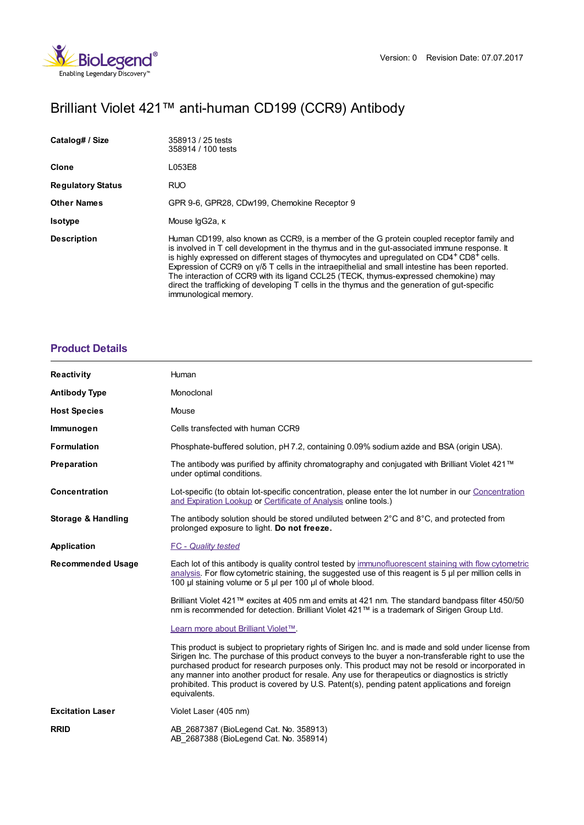

# Brilliant Violet 421™ anti-human CD199 (CCR9) Antibody

| Catalog# / Size          | 358913 / 25 tests<br>358914 / 100 tests                                                                                                                                                                                                                                                                                                                                                                                                                                                                                                                                                                                |
|--------------------------|------------------------------------------------------------------------------------------------------------------------------------------------------------------------------------------------------------------------------------------------------------------------------------------------------------------------------------------------------------------------------------------------------------------------------------------------------------------------------------------------------------------------------------------------------------------------------------------------------------------------|
| <b>Clone</b>             | L053E8                                                                                                                                                                                                                                                                                                                                                                                                                                                                                                                                                                                                                 |
| <b>Regulatory Status</b> | <b>RUO</b>                                                                                                                                                                                                                                                                                                                                                                                                                                                                                                                                                                                                             |
| <b>Other Names</b>       | GPR 9-6, GPR28, CDw199, Chemokine Receptor 9                                                                                                                                                                                                                                                                                                                                                                                                                                                                                                                                                                           |
| <b>Isotype</b>           | Mouse lgG2a, к                                                                                                                                                                                                                                                                                                                                                                                                                                                                                                                                                                                                         |
| <b>Description</b>       | Human CD199, also known as CCR9, is a member of the G protein coupled receptor family and<br>is involved in T cell development in the thymus and in the gut-associated immune response. It<br>is highly expressed on different stages of thymocytes and upregulated on $CD4^+CD8^+$ cells.<br>Expression of CCR9 on $\sqrt{5}$ T cells in the intraepithelial and small intestine has been reported.<br>The interaction of CCR9 with its ligand CCL25 (TECK, thymus-expressed chemokine) may<br>direct the trafficking of developing T cells in the thymus and the generation of gut-specific<br>immunological memory. |

## **[Product](https://www.biolegend.com/de-at/products/brilliant-violet-421-anti-human-cd199-ccr9-antibody-14702?pdf=true&displayInline=true&leftRightMargin=15&topBottomMargin=15&filename=Brilliant Violet 421%EF%BF%BD%EF%BF%BD%EF%BF%BD anti-human CD199 (CCR9) Antibody.pdf#productDetails) Details**

| Reactivity                    | Human                                                                                                                                                                                                                                                                                                                                                                                                                                                                                                                               |
|-------------------------------|-------------------------------------------------------------------------------------------------------------------------------------------------------------------------------------------------------------------------------------------------------------------------------------------------------------------------------------------------------------------------------------------------------------------------------------------------------------------------------------------------------------------------------------|
| <b>Antibody Type</b>          | Monoclonal                                                                                                                                                                                                                                                                                                                                                                                                                                                                                                                          |
| <b>Host Species</b>           | Mouse                                                                                                                                                                                                                                                                                                                                                                                                                                                                                                                               |
| Immunogen                     | Cells transfected with human CCR9                                                                                                                                                                                                                                                                                                                                                                                                                                                                                                   |
| <b>Formulation</b>            | Phosphate-buffered solution, pH 7.2, containing 0.09% sodium azide and BSA (origin USA).                                                                                                                                                                                                                                                                                                                                                                                                                                            |
| Preparation                   | The antibody was purified by affinity chromatography and conjugated with Brilliant Violet 421™<br>under optimal conditions.                                                                                                                                                                                                                                                                                                                                                                                                         |
| Concentration                 | Lot-specific (to obtain lot-specific concentration, please enter the lot number in our Concentration<br>and Expiration Lookup or Certificate of Analysis online tools.)                                                                                                                                                                                                                                                                                                                                                             |
| <b>Storage &amp; Handling</b> | The antibody solution should be stored undiluted between $2^{\circ}$ C and $8^{\circ}$ C, and protected from<br>prolonged exposure to light. Do not freeze.                                                                                                                                                                                                                                                                                                                                                                         |
| Application                   | <b>FC</b> - Quality tested                                                                                                                                                                                                                                                                                                                                                                                                                                                                                                          |
| <b>Recommended Usage</b>      | Each lot of this antibody is quality control tested by immunofluorescent staining with flow cytometric<br>analysis. For flow cytometric staining, the suggested use of this reagent is $5 \mu$ per million cells in<br>100 µl staining volume or 5 µl per 100 µl of whole blood.                                                                                                                                                                                                                                                    |
|                               | Brilliant Violet 421™ excites at 405 nm and emits at 421 nm. The standard bandpass filter 450/50<br>nm is recommended for detection. Brilliant Violet 421™ is a trademark of Sirigen Group Ltd.                                                                                                                                                                                                                                                                                                                                     |
|                               | Learn more about Brilliant Violet™.                                                                                                                                                                                                                                                                                                                                                                                                                                                                                                 |
|                               | This product is subject to proprietary rights of Sirigen Inc. and is made and sold under license from<br>Sirigen Inc. The purchase of this product conveys to the buyer a non-transferable right to use the<br>purchased product for research purposes only. This product may not be resold or incorporated in<br>any manner into another product for resale. Any use for therapeutics or diagnostics is strictly<br>prohibited. This product is covered by U.S. Patent(s), pending patent applications and foreign<br>equivalents. |
| <b>Excitation Laser</b>       | Violet Laser (405 nm)                                                                                                                                                                                                                                                                                                                                                                                                                                                                                                               |
| <b>RRID</b>                   | AB 2687387 (BioLegend Cat. No. 358913)<br>AB 2687388 (BioLegend Cat. No. 358914)                                                                                                                                                                                                                                                                                                                                                                                                                                                    |